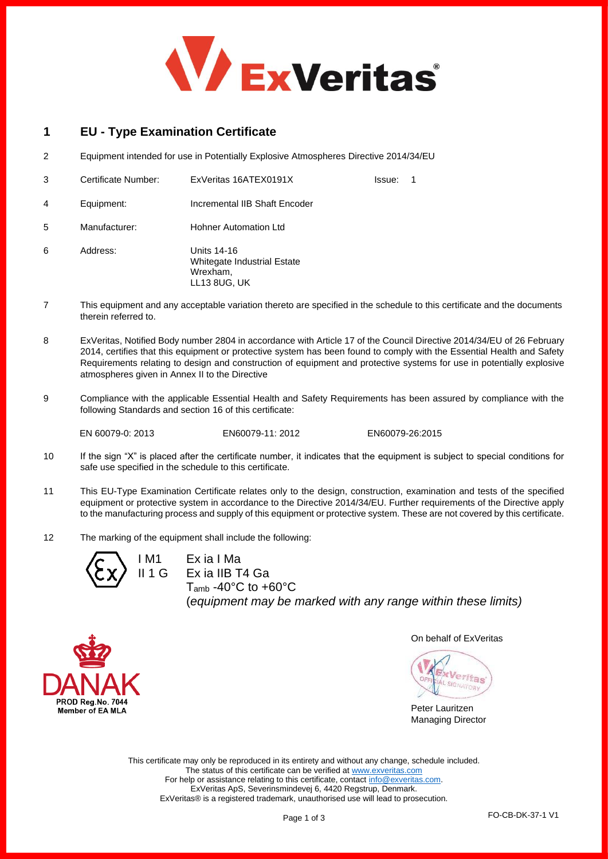

# **1 EU - Type Examination Certificate**

2 Equipment intended for use in Potentially Explosive Atmospheres Directive 2014/34/EU

|   | Certificate Number: | ExVeritas 16ATEX0191X                                                  | Issue: | -1 |
|---|---------------------|------------------------------------------------------------------------|--------|----|
| 4 | Equipment:          | Incremental IIB Shaft Encoder                                          |        |    |
| 5 | Manufacturer:       | <b>Hohner Automation Ltd</b>                                           |        |    |
| 6 | Address:            | Units 14-16<br>Whitegate Industrial Estate<br>Wrexham,<br>LL13 8UG, UK |        |    |

- 7 This equipment and any acceptable variation thereto are specified in the schedule to this certificate and the documents therein referred to.
- 8 ExVeritas, Notified Body number 2804 in accordance with Article 17 of the Council Directive 2014/34/EU of 26 February 2014, certifies that this equipment or protective system has been found to comply with the Essential Health and Safety Requirements relating to design and construction of equipment and protective systems for use in potentially explosive atmospheres given in Annex II to the Directive
- 9 Compliance with the applicable Essential Health and Safety Requirements has been assured by compliance with the following Standards and section 16 of this certificate:

EN 60079-0: 2013 EN60079-11: 2012 EN60079-26:2015

- 10 If the sign "X" is placed after the certificate number, it indicates that the equipment is subject to special conditions for safe use specified in the schedule to this certificate.
- 11 This EU-Type Examination Certificate relates only to the design, construction, examination and tests of the specified equipment or protective system in accordance to the Directive 2014/34/EU. Further requirements of the Directive apply to the manufacturing process and supply of this equipment or protective system. These are not covered by this certificate.
- 12 The marking of the equipment shall include the following:



Ex ia I Ma Ex ia IIB T4 Ga  $T<sub>amb</sub> -40°C$  to  $+60°C$ (*equipment may be marked with any range within these limits)*



On behalf of ExVeritas

Veritas

Peter Lauritzen Managing Director

This certificate may only be reproduced in its entirety and without any change, schedule included. The status of this certificate can be verified a[t www.exveritas.com](http://www.exveritas.com/) For help or assistance relating to this certificate, contact [info@exveritas.com.](mailto:info@exveritas.com) ExVeritas ApS, Severinsmindevej 6, 4420 Regstrup, Denmark. ExVeritas® is a registered trademark, unauthorised use will lead to prosecution.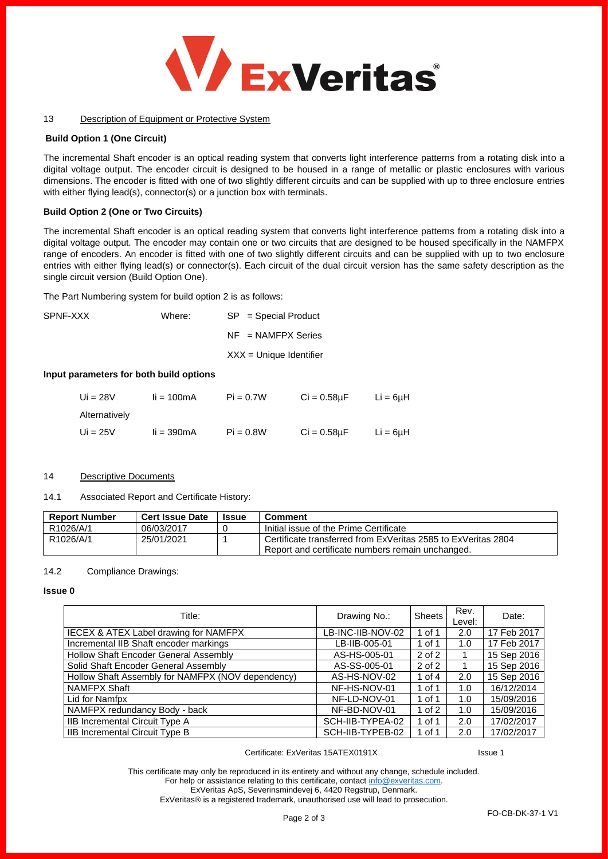

## 13 Description of Equipment or Protective System

# **Build Option 1 (One Circuit)**

The incremental Shaft encoder is an optical reading system that converts light interference patterns from a rotating disk into a digital voltage output. The encoder circuit is designed to be housed in a range of metallic or plastic enclosures with various dimensions. The encoder is fitted with one of two slightly different circuits and can be supplied with up to three enclosure entries with either flying lead(s), connector(s) or a junction box with terminals.

## **Build Option 2 (One or Two Circuits)**

The incremental Shaft encoder is an optical reading system that converts light interference patterns from a rotating disk into a digital voltage output. The encoder may contain one or two circuits that are designed to be housed specifically in the NAMFPX range of encoders. An encoder is fitted with one of two slightly different circuits and can be supplied with up to two enclosure entries with either flying lead(s) or connector(s). Each circuit of the dual circuit version has the same safety description as the single circuit version (Build Option One).

The Part Numbering system for build option 2 is as follows:

| SPNF-XXX | Where: | $SP = Special Product$    |  |  |
|----------|--------|---------------------------|--|--|
|          |        | $NF = NAMFPX$ Series      |  |  |
|          |        | $XXX =$ Unique Identifier |  |  |

# **Input parameters for both build options**

| Ui = $28V$    | $i = 100mA$ | $Pi = 0.7W$ | $Ci = 0.58uF$    | $Li = 6\mu H$ |
|---------------|-------------|-------------|------------------|---------------|
| Alternatively |             |             |                  |               |
| Ui = $25V$    | $i = 390mA$ | $Pi = 0.8W$ | $Ci = 0.58\mu F$ | $Li = 6uH$    |

# 14 Descriptive Documents

## 14.1 Associated Report and Certificate History:

| <b>Report Number</b> | <b>Cert Issue Date</b> | <b>Issue</b> | Comment                                                                                                           |
|----------------------|------------------------|--------------|-------------------------------------------------------------------------------------------------------------------|
| R1026/A/1            | 06/03/2017             |              | Initial issue of the Prime Certificate                                                                            |
| R1026/A/1            | 25/01/2021             |              | Certificate transferred from ExVeritas 2585 to ExVeritas 2804<br>Report and certificate numbers remain unchanged. |

# 14.2 Compliance Drawings:

#### **Issue 0**

| Title:                                            | Drawing No.:      | <b>Sheets</b> | Rev.<br>Level: | Date:       |
|---------------------------------------------------|-------------------|---------------|----------------|-------------|
| IECEX & ATEX Label drawing for NAMFPX             | LB-INC-IIB-NOV-02 | 1 of 1        | 2.0            | 17 Feb 2017 |
| Incremental IIB Shaft encoder markings            | LB-IIB-005-01     | 1 of 1        | 1.0            | 17 Feb 2017 |
| Hollow Shaft Encoder General Assembly             | AS-HS-005-01      | 2 of 2        |                | 15 Sep 2016 |
| Solid Shaft Encoder General Assembly              | AS-SS-005-01      | 2 of 2        |                | 15 Sep 2016 |
| Hollow Shaft Assembly for NAMFPX (NOV dependency) | AS-HS-NOV-02      | 1 of $4$      | 2.0            | 15 Sep 2016 |
| NAMFPX Shaft                                      | NF-HS-NOV-01      | 1 of 1        | 1.0            | 16/12/2014  |
| Lid for Namfpx                                    | NF-LD-NOV-01      | 1 of 1        | 1.0            | 15/09/2016  |
| NAMFPX redundancy Body - back                     | NF-BD-NOV-01      | 1 of $2$      | 1.0            | 15/09/2016  |
| IIB Incremental Circuit Type A                    | SCH-IIB-TYPEA-02  | 1 of 1        | 2.0            | 17/02/2017  |
| IIB Incremental Circuit Type B                    | SCH-IIB-TYPEB-02  | 1 of 1        | 2.0            | 17/02/2017  |

## Certificate: ExVeritas 15ATEX0191X Issue 1

This certificate may only be reproduced in its entirety and without any change, schedule included. For help or assistance relating to this certificate, contact [info@exveritas.com.](mailto:info@exveritas.com) ExVeritas ApS, Severinsmindevej 6, 4420 Regstrup, Denmark. ExVeritas® is a registered trademark, unauthorised use will lead to prosecution.